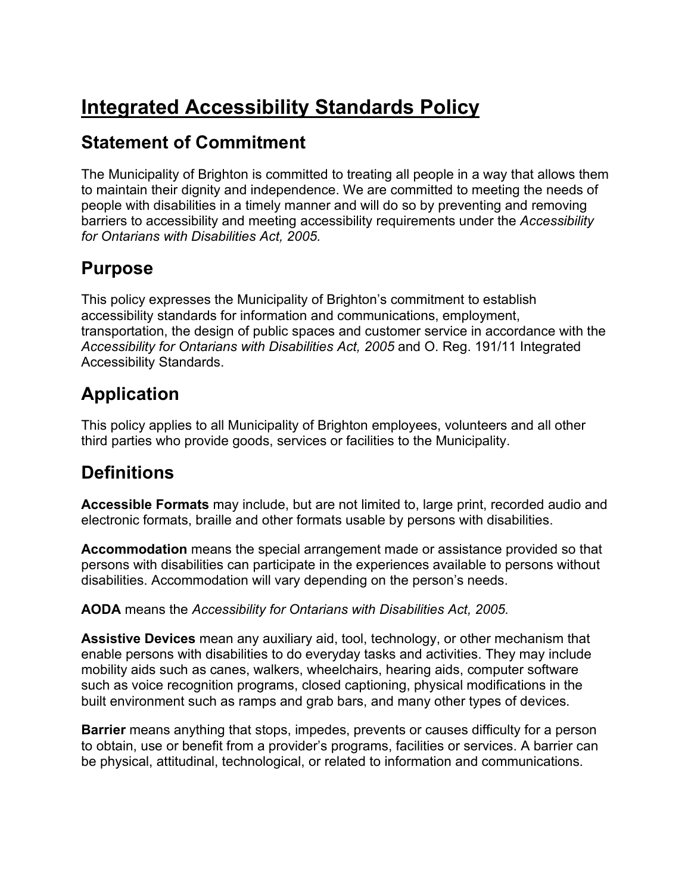# **Integrated Accessibility Standards Policy**

## **Statement of Commitment**

The Municipality of Brighton is committed to treating all people in a way that allows them to maintain their dignity and independence. We are committed to meeting the needs of people with disabilities in a timely manner and will do so by preventing and removing barriers to accessibility and meeting accessibility requirements under the *Accessibility for Ontarians with Disabilities Act, 2005.*

## **Purpose**

This policy expresses the Municipality of Brighton's commitment to establish accessibility standards for information and communications, employment, transportation, the design of public spaces and customer service in accordance with the *Accessibility for Ontarians with Disabilities Act, 2005* and O. Reg. 191/11 Integrated Accessibility Standards.

## **Application**

This policy applies to all Municipality of Brighton employees, volunteers and all other third parties who provide goods, services or facilities to the Municipality.

## **Definitions**

**Accessible Formats** may include, but are not limited to, large print, recorded audio and electronic formats, braille and other formats usable by persons with disabilities.

**Accommodation** means the special arrangement made or assistance provided so that persons with disabilities can participate in the experiences available to persons without disabilities. Accommodation will vary depending on the person's needs.

**AODA** means the *Accessibility for Ontarians with Disabilities Act, 2005.*

**Assistive Devices** mean any auxiliary aid, tool, technology, or other mechanism that enable persons with disabilities to do everyday tasks and activities. They may include mobility aids such as canes, walkers, wheelchairs, hearing aids, computer software such as voice recognition programs, closed captioning, physical modifications in the built environment such as ramps and grab bars, and many other types of devices.

**Barrier** means anything that stops, impedes, prevents or causes difficulty for a person to obtain, use or benefit from a provider's programs, facilities or services. A barrier can be physical, attitudinal, technological, or related to information and communications.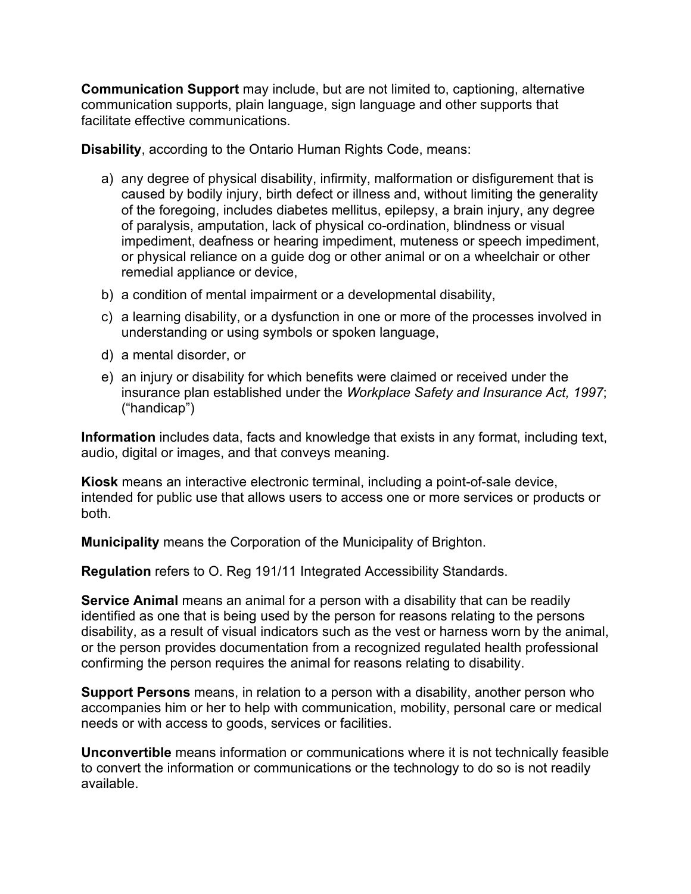**Communication Support** may include, but are not limited to, captioning, alternative communication supports, plain language, sign language and other supports that facilitate effective communications.

**Disability**, according to the Ontario Human Rights Code, means:

- a) any degree of physical disability, infirmity, malformation or disfigurement that is caused by bodily injury, birth defect or illness and, without limiting the generality of the foregoing, includes diabetes mellitus, epilepsy, a brain injury, any degree of paralysis, amputation, lack of physical co-ordination, blindness or visual impediment, deafness or hearing impediment, muteness or speech impediment, or physical reliance on a guide dog or other animal or on a wheelchair or other remedial appliance or device,
- b) a condition of mental impairment or a developmental disability,
- c) a learning disability, or a dysfunction in one or more of the processes involved in understanding or using symbols or spoken language,
- d) a mental disorder, or
- e) an injury or disability for which benefits were claimed or received under the insurance plan established under the *Workplace Safety and Insurance Act, 1997*; ("handicap")

**Information** includes data, facts and knowledge that exists in any format, including text, audio, digital or images, and that conveys meaning.

**Kiosk** means an interactive electronic terminal, including a point-of-sale device, intended for public use that allows users to access one or more services or products or both.

**Municipality** means the Corporation of the Municipality of Brighton.

**Regulation** refers to O. Reg 191/11 Integrated Accessibility Standards.

**Service Animal** means an animal for a person with a disability that can be readily identified as one that is being used by the person for reasons relating to the persons disability, as a result of visual indicators such as the vest or harness worn by the animal, or the person provides documentation from a recognized regulated health professional confirming the person requires the animal for reasons relating to disability.

**Support Persons** means, in relation to a person with a disability, another person who accompanies him or her to help with communication, mobility, personal care or medical needs or with access to goods, services or facilities.

**Unconvertible** means information or communications where it is not technically feasible to convert the information or communications or the technology to do so is not readily available.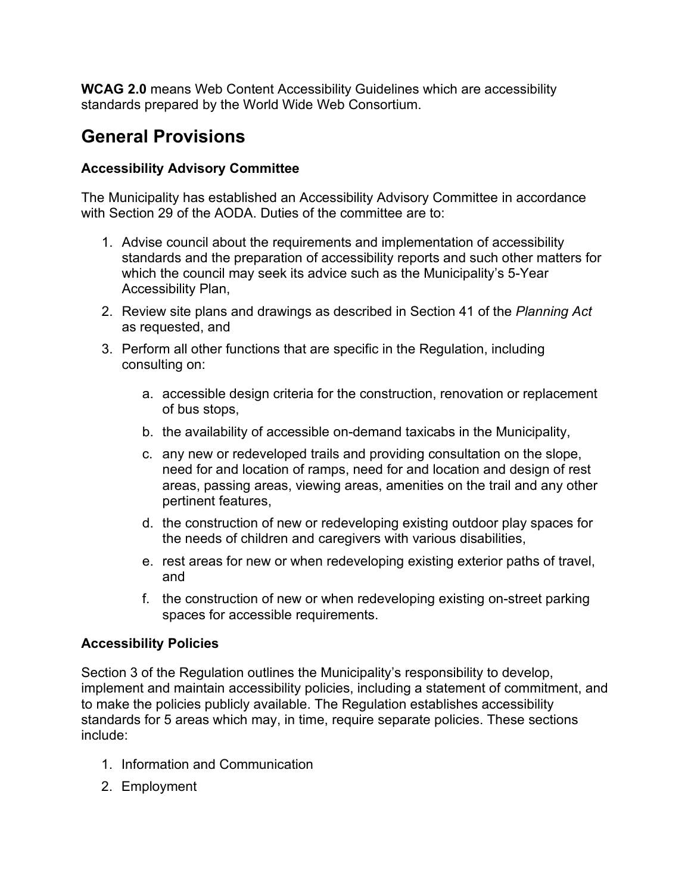**WCAG 2.0** means Web Content Accessibility Guidelines which are accessibility standards prepared by the World Wide Web Consortium.

## **General Provisions**

#### **Accessibility Advisory Committee**

The Municipality has established an Accessibility Advisory Committee in accordance with Section 29 of the AODA. Duties of the committee are to:

- 1. Advise council about the requirements and implementation of accessibility standards and the preparation of accessibility reports and such other matters for which the council may seek its advice such as the Municipality's 5-Year Accessibility Plan,
- 2. Review site plans and drawings as described in Section 41 of the *Planning Act* as requested, and
- 3. Perform all other functions that are specific in the Regulation, including consulting on:
	- a. accessible design criteria for the construction, renovation or replacement of bus stops,
	- b. the availability of accessible on-demand taxicabs in the Municipality,
	- c. any new or redeveloped trails and providing consultation on the slope, need for and location of ramps, need for and location and design of rest areas, passing areas, viewing areas, amenities on the trail and any other pertinent features,
	- d. the construction of new or redeveloping existing outdoor play spaces for the needs of children and caregivers with various disabilities,
	- e. rest areas for new or when redeveloping existing exterior paths of travel, and
	- f. the construction of new or when redeveloping existing on-street parking spaces for accessible requirements.

#### **Accessibility Policies**

Section 3 of the Regulation outlines the Municipality's responsibility to develop, implement and maintain accessibility policies, including a statement of commitment, and to make the policies publicly available. The Regulation establishes accessibility standards for 5 areas which may, in time, require separate policies. These sections include:

- 1. Information and Communication
- 2. Employment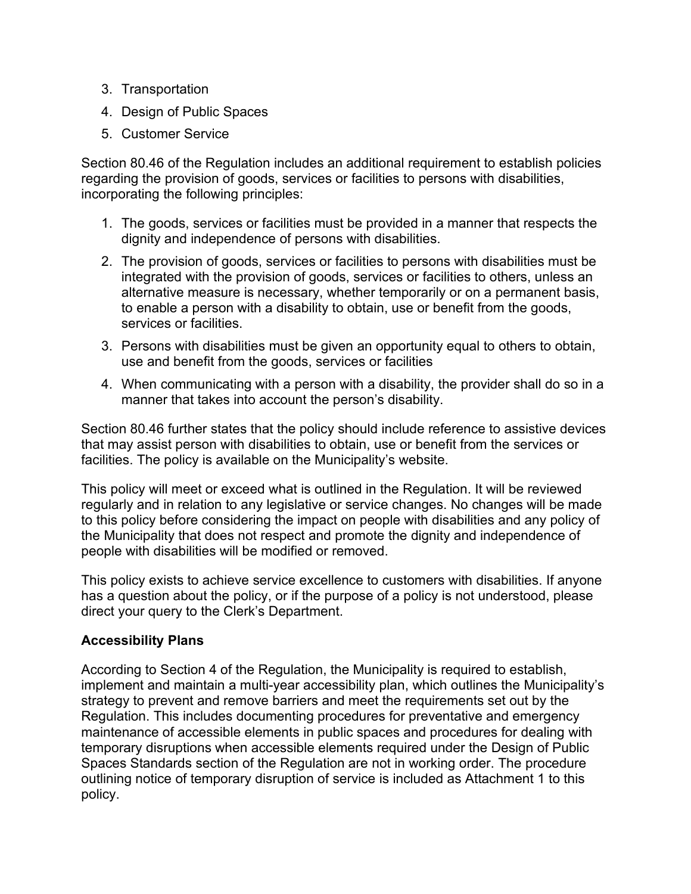- 3. Transportation
- 4. Design of Public Spaces
- 5. Customer Service

Section 80.46 of the Regulation includes an additional requirement to establish policies regarding the provision of goods, services or facilities to persons with disabilities, incorporating the following principles:

- 1. The goods, services or facilities must be provided in a manner that respects the dignity and independence of persons with disabilities.
- 2. The provision of goods, services or facilities to persons with disabilities must be integrated with the provision of goods, services or facilities to others, unless an alternative measure is necessary, whether temporarily or on a permanent basis, to enable a person with a disability to obtain, use or benefit from the goods, services or facilities.
- 3. Persons with disabilities must be given an opportunity equal to others to obtain, use and benefit from the goods, services or facilities
- 4. When communicating with a person with a disability, the provider shall do so in a manner that takes into account the person's disability.

Section 80.46 further states that the policy should include reference to assistive devices that may assist person with disabilities to obtain, use or benefit from the services or facilities. The policy is available on the Municipality's website.

This policy will meet or exceed what is outlined in the Regulation. It will be reviewed regularly and in relation to any legislative or service changes. No changes will be made to this policy before considering the impact on people with disabilities and any policy of the Municipality that does not respect and promote the dignity and independence of people with disabilities will be modified or removed.

This policy exists to achieve service excellence to customers with disabilities. If anyone has a question about the policy, or if the purpose of a policy is not understood, please direct your query to the Clerk's Department.

#### **Accessibility Plans**

According to Section 4 of the Regulation, the Municipality is required to establish, implement and maintain a multi-year accessibility plan, which outlines the Municipality's strategy to prevent and remove barriers and meet the requirements set out by the Regulation. This includes documenting procedures for preventative and emergency maintenance of accessible elements in public spaces and procedures for dealing with temporary disruptions when accessible elements required under the Design of Public Spaces Standards section of the Regulation are not in working order. The procedure outlining notice of temporary disruption of service is included as Attachment 1 to this policy.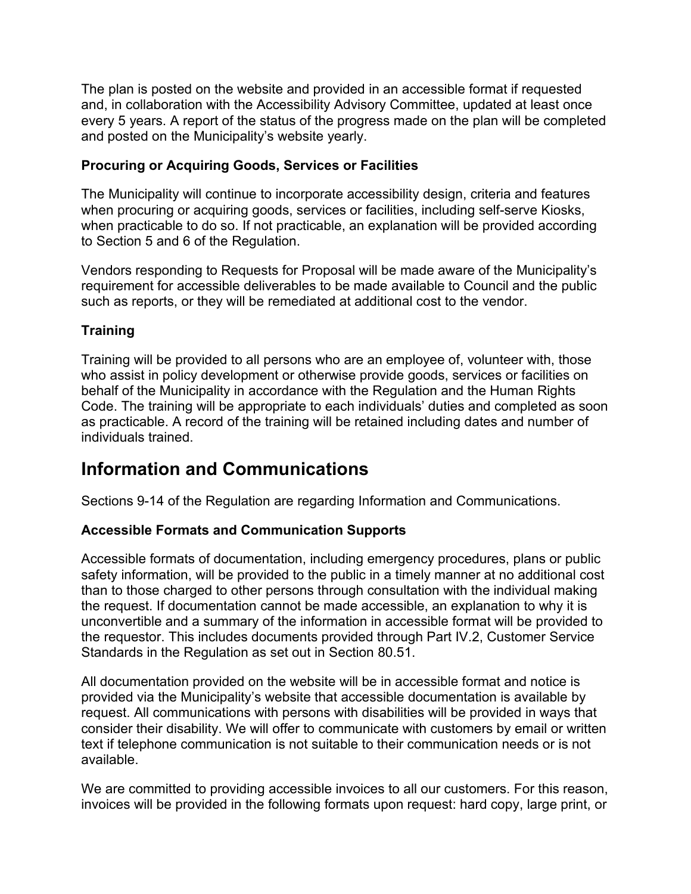The plan is posted on the website and provided in an accessible format if requested and, in collaboration with the Accessibility Advisory Committee, updated at least once every 5 years. A report of the status of the progress made on the plan will be completed and posted on the Municipality's website yearly.

#### **Procuring or Acquiring Goods, Services or Facilities**

The Municipality will continue to incorporate accessibility design, criteria and features when procuring or acquiring goods, services or facilities, including self-serve Kiosks, when practicable to do so. If not practicable, an explanation will be provided according to Section 5 and 6 of the Regulation.

Vendors responding to Requests for Proposal will be made aware of the Municipality's requirement for accessible deliverables to be made available to Council and the public such as reports, or they will be remediated at additional cost to the vendor.

#### **Training**

Training will be provided to all persons who are an employee of, volunteer with, those who assist in policy development or otherwise provide goods, services or facilities on behalf of the Municipality in accordance with the Regulation and the Human Rights Code. The training will be appropriate to each individuals' duties and completed as soon as practicable. A record of the training will be retained including dates and number of individuals trained.

### **Information and Communications**

Sections 9-14 of the Regulation are regarding Information and Communications.

#### **Accessible Formats and Communication Supports**

Accessible formats of documentation, including emergency procedures, plans or public safety information, will be provided to the public in a timely manner at no additional cost than to those charged to other persons through consultation with the individual making the request. If documentation cannot be made accessible, an explanation to why it is unconvertible and a summary of the information in accessible format will be provided to the requestor. This includes documents provided through Part IV.2, Customer Service Standards in the Regulation as set out in Section 80.51.

All documentation provided on the website will be in accessible format and notice is provided via the Municipality's website that accessible documentation is available by request. All communications with persons with disabilities will be provided in ways that consider their disability. We will offer to communicate with customers by email or written text if telephone communication is not suitable to their communication needs or is not available.

We are committed to providing accessible invoices to all our customers. For this reason, invoices will be provided in the following formats upon request: hard copy, large print, or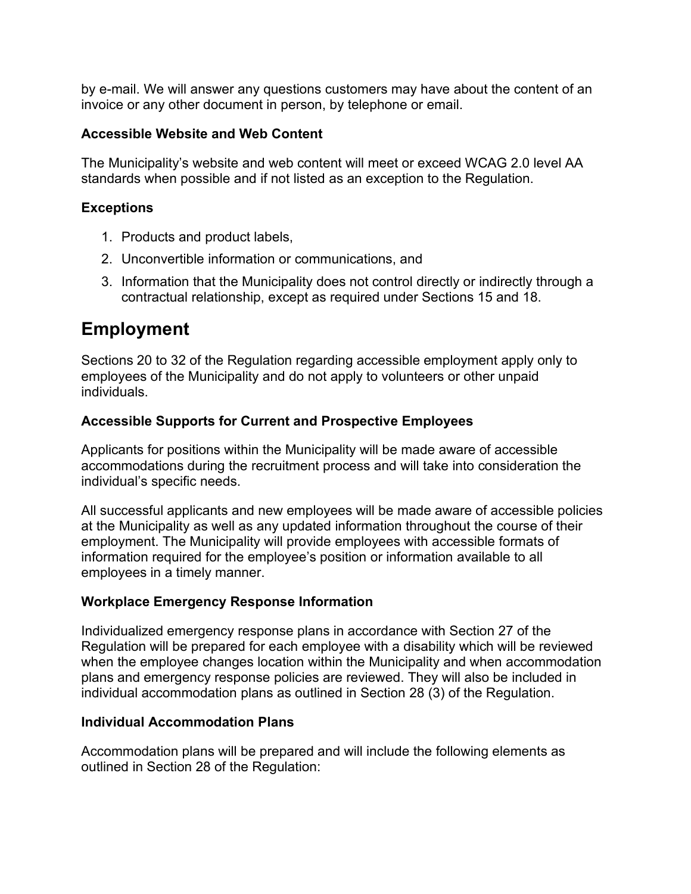by e-mail. We will answer any questions customers may have about the content of an invoice or any other document in person, by telephone or email.

#### **Accessible Website and Web Content**

The Municipality's website and web content will meet or exceed WCAG 2.0 level AA standards when possible and if not listed as an exception to the Regulation.

#### **Exceptions**

- 1. Products and product labels,
- 2. Unconvertible information or communications, and
- 3. Information that the Municipality does not control directly or indirectly through a contractual relationship, except as required under Sections 15 and 18.

## **Employment**

Sections 20 to 32 of the Regulation regarding accessible employment apply only to employees of the Municipality and do not apply to volunteers or other unpaid individuals.

#### **Accessible Supports for Current and Prospective Employees**

Applicants for positions within the Municipality will be made aware of accessible accommodations during the recruitment process and will take into consideration the individual's specific needs.

All successful applicants and new employees will be made aware of accessible policies at the Municipality as well as any updated information throughout the course of their employment. The Municipality will provide employees with accessible formats of information required for the employee's position or information available to all employees in a timely manner.

#### **Workplace Emergency Response Information**

Individualized emergency response plans in accordance with Section 27 of the Regulation will be prepared for each employee with a disability which will be reviewed when the employee changes location within the Municipality and when accommodation plans and emergency response policies are reviewed. They will also be included in individual accommodation plans as outlined in Section 28 (3) of the Regulation.

#### **Individual Accommodation Plans**

Accommodation plans will be prepared and will include the following elements as outlined in Section 28 of the Regulation: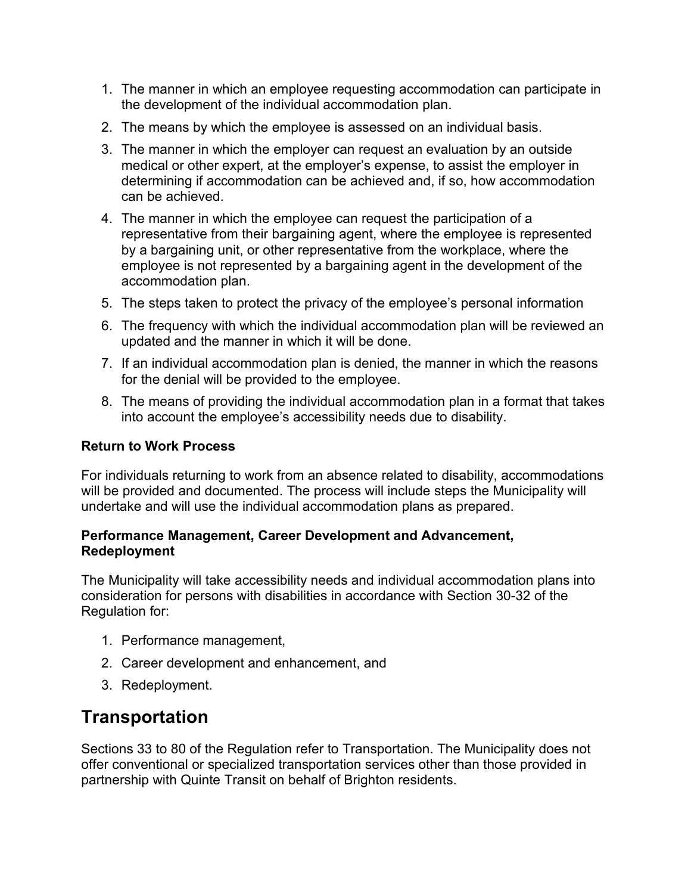- 1. The manner in which an employee requesting accommodation can participate in the development of the individual accommodation plan.
- 2. The means by which the employee is assessed on an individual basis.
- 3. The manner in which the employer can request an evaluation by an outside medical or other expert, at the employer's expense, to assist the employer in determining if accommodation can be achieved and, if so, how accommodation can be achieved.
- 4. The manner in which the employee can request the participation of a representative from their bargaining agent, where the employee is represented by a bargaining unit, or other representative from the workplace, where the employee is not represented by a bargaining agent in the development of the accommodation plan.
- 5. The steps taken to protect the privacy of the employee's personal information
- 6. The frequency with which the individual accommodation plan will be reviewed an updated and the manner in which it will be done.
- 7. If an individual accommodation plan is denied, the manner in which the reasons for the denial will be provided to the employee.
- 8. The means of providing the individual accommodation plan in a format that takes into account the employee's accessibility needs due to disability.

#### **Return to Work Process**

For individuals returning to work from an absence related to disability, accommodations will be provided and documented. The process will include steps the Municipality will undertake and will use the individual accommodation plans as prepared.

#### **Performance Management, Career Development and Advancement, Redeployment**

The Municipality will take accessibility needs and individual accommodation plans into consideration for persons with disabilities in accordance with Section 30-32 of the Regulation for:

- 1. Performance management,
- 2. Career development and enhancement, and
- 3. Redeployment.

### **Transportation**

Sections 33 to 80 of the Regulation refer to Transportation. The Municipality does not offer conventional or specialized transportation services other than those provided in partnership with Quinte Transit on behalf of Brighton residents.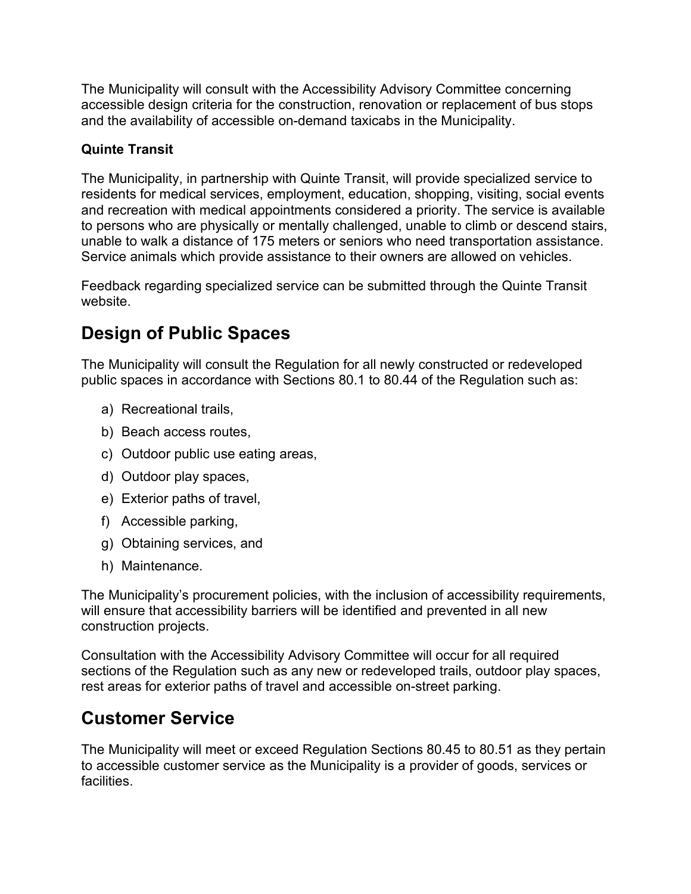The Municipality will consult with the Accessibility Advisory Committee concerning accessible design criteria for the construction, renovation or replacement of bus stops and the availability of accessible on-demand taxicabs in the Municipality.

#### **Quinte Transit**

The Municipality, in partnership with Quinte Transit, will provide specialized service to residents for medical services, employment, education, shopping, visiting, social events and recreation with medical appointments considered a priority. The service is available to persons who are physically or mentally challenged, unable to climb or descend stairs, unable to walk a distance of 175 meters or seniors who need transportation assistance. Service animals which provide assistance to their owners are allowed on vehicles.

Feedback regarding specialized service can be submitted through the Quinte Transit website.

## **Design of Public Spaces**

The Municipality will consult the Regulation for all newly constructed or redeveloped public spaces in accordance with Sections 80.1 to 80.44 of the Regulation such as:

- a) Recreational trails,
- b) Beach access routes,
- c) Outdoor public use eating areas,
- d) Outdoor play spaces,
- e) Exterior paths of travel,
- f) Accessible parking,
- g) Obtaining services, and
- h) Maintenance.

The Municipality's procurement policies, with the inclusion of accessibility requirements, will ensure that accessibility barriers will be identified and prevented in all new construction projects.

Consultation with the Accessibility Advisory Committee will occur for all required sections of the Regulation such as any new or redeveloped trails, outdoor play spaces, rest areas for exterior paths of travel and accessible on-street parking.

### **Customer Service**

The Municipality will meet or exceed Regulation Sections 80.45 to 80.51 as they pertain to accessible customer service as the Municipality is a provider of goods, services or facilities.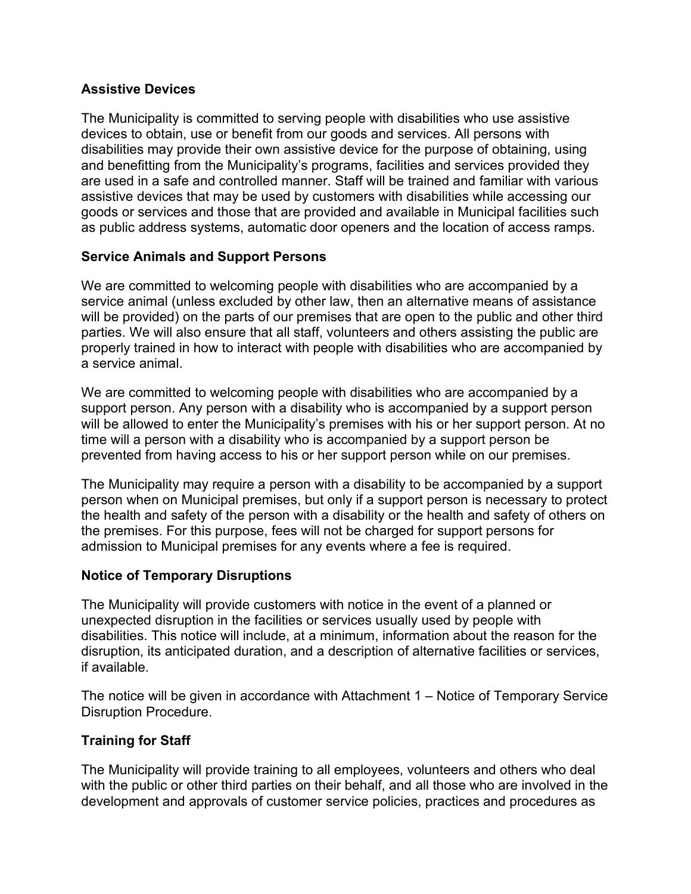#### **Assistive Devices**

The Municipality is committed to serving people with disabilities who use assistive devices to obtain, use or benefit from our goods and services. All persons with disabilities may provide their own assistive device for the purpose of obtaining, using and benefitting from the Municipality's programs, facilities and services provided they are used in a safe and controlled manner. Staff will be trained and familiar with various assistive devices that may be used by customers with disabilities while accessing our goods or services and those that are provided and available in Municipal facilities such as public address systems, automatic door openers and the location of access ramps.

#### **Service Animals and Support Persons**

We are committed to welcoming people with disabilities who are accompanied by a service animal (unless excluded by other law, then an alternative means of assistance will be provided) on the parts of our premises that are open to the public and other third parties. We will also ensure that all staff, volunteers and others assisting the public are properly trained in how to interact with people with disabilities who are accompanied by a service animal.

We are committed to welcoming people with disabilities who are accompanied by a support person. Any person with a disability who is accompanied by a support person will be allowed to enter the Municipality's premises with his or her support person. At no time will a person with a disability who is accompanied by a support person be prevented from having access to his or her support person while on our premises.

The Municipality may require a person with a disability to be accompanied by a support person when on Municipal premises, but only if a support person is necessary to protect the health and safety of the person with a disability or the health and safety of others on the premises. For this purpose, fees will not be charged for support persons for admission to Municipal premises for any events where a fee is required.

#### **Notice of Temporary Disruptions**

The Municipality will provide customers with notice in the event of a planned or unexpected disruption in the facilities or services usually used by people with disabilities. This notice will include, at a minimum, information about the reason for the disruption, its anticipated duration, and a description of alternative facilities or services, if available.

The notice will be given in accordance with Attachment 1 – Notice of Temporary Service Disruption Procedure.

#### **Training for Staff**

The Municipality will provide training to all employees, volunteers and others who deal with the public or other third parties on their behalf, and all those who are involved in the development and approvals of customer service policies, practices and procedures as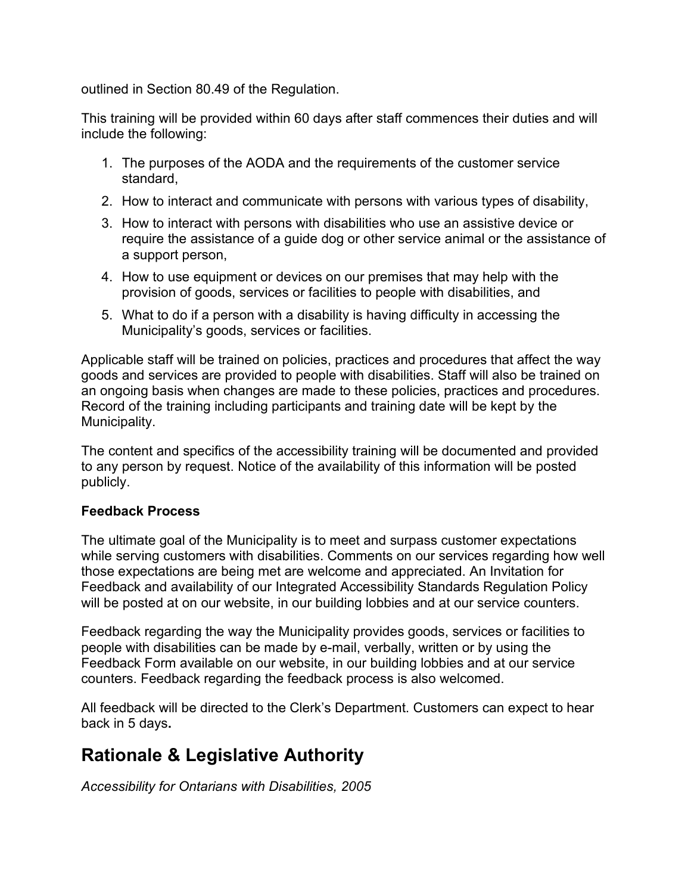outlined in Section 80.49 of the Regulation.

This training will be provided within 60 days after staff commences their duties and will include the following:

- 1. The purposes of the AODA and the requirements of the customer service standard,
- 2. How to interact and communicate with persons with various types of disability,
- 3. How to interact with persons with disabilities who use an assistive device or require the assistance of a guide dog or other service animal or the assistance of a support person,
- 4. How to use equipment or devices on our premises that may help with the provision of goods, services or facilities to people with disabilities, and
- 5. What to do if a person with a disability is having difficulty in accessing the Municipality's goods, services or facilities.

Applicable staff will be trained on policies, practices and procedures that affect the way goods and services are provided to people with disabilities. Staff will also be trained on an ongoing basis when changes are made to these policies, practices and procedures. Record of the training including participants and training date will be kept by the Municipality.

The content and specifics of the accessibility training will be documented and provided to any person by request. Notice of the availability of this information will be posted publicly.

#### **Feedback Process**

The ultimate goal of the Municipality is to meet and surpass customer expectations while serving customers with disabilities. Comments on our services regarding how well those expectations are being met are welcome and appreciated. An Invitation for Feedback and availability of our Integrated Accessibility Standards Regulation Policy will be posted at on our website, in our building lobbies and at our service counters.

Feedback regarding the way the Municipality provides goods, services or facilities to people with disabilities can be made by e-mail, verbally, written or by using the Feedback Form available on our website, in our building lobbies and at our service counters. Feedback regarding the feedback process is also welcomed.

All feedback will be directed to the Clerk's Department. Customers can expect to hear back in 5 days**.**

### **Rationale & Legislative Authority**

*Accessibility for Ontarians with Disabilities, 2005*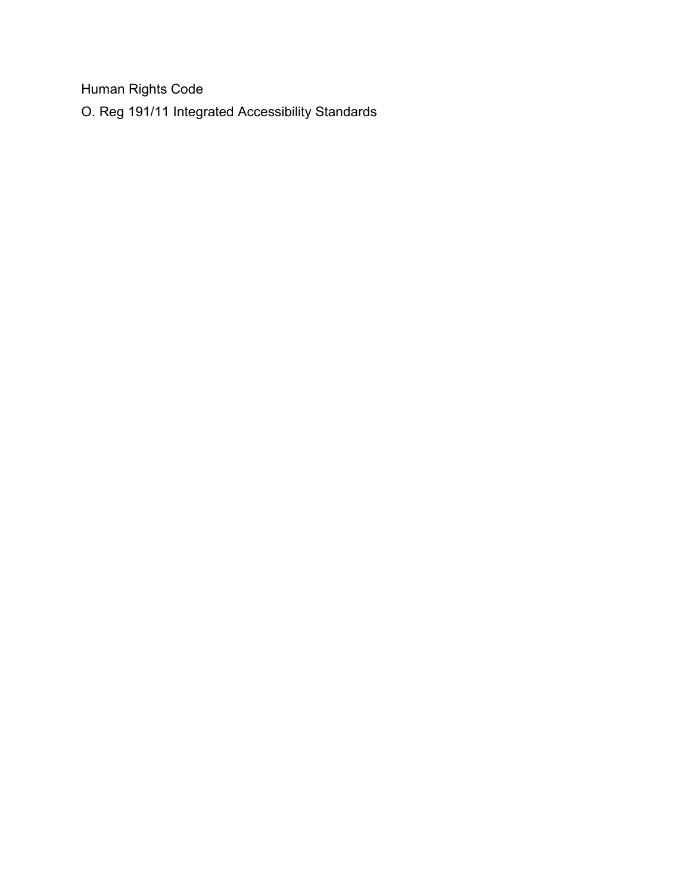Human Rights Code O. Reg 191/11 Integrated Accessibility Standards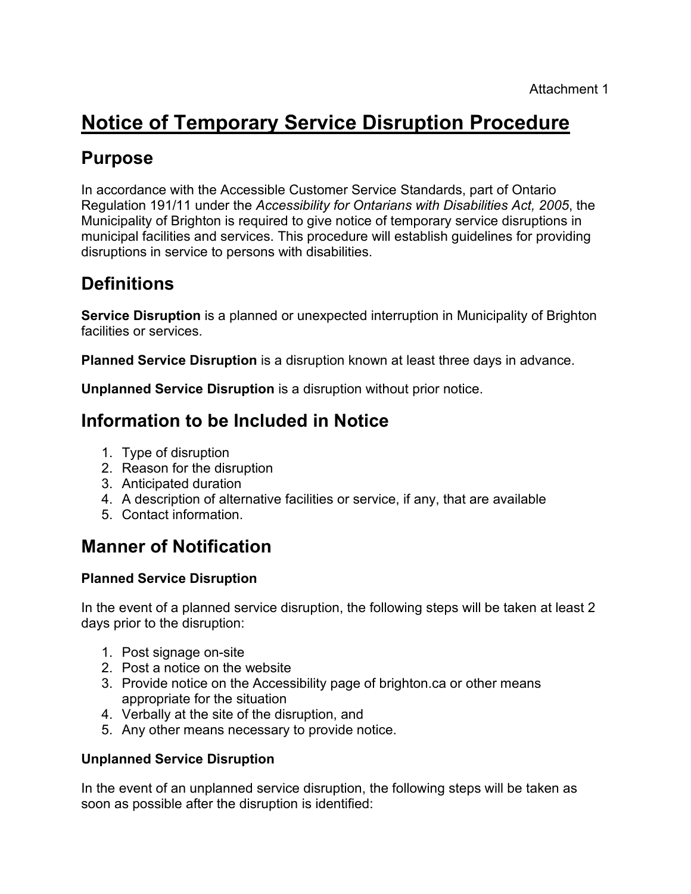# **Notice of Temporary Service Disruption Procedure**

### **Purpose**

In accordance with the Accessible Customer Service Standards, part of Ontario Regulation 191/11 under the *Accessibility for Ontarians with Disabilities Act, 2005*, the Municipality of Brighton is required to give notice of temporary service disruptions in municipal facilities and services. This procedure will establish guidelines for providing disruptions in service to persons with disabilities.

## **Definitions**

**Service Disruption** is a planned or unexpected interruption in Municipality of Brighton facilities or services.

**Planned Service Disruption** is a disruption known at least three days in advance.

**Unplanned Service Disruption** is a disruption without prior notice.

### **Information to be Included in Notice**

- 1. Type of disruption
- 2. Reason for the disruption
- 3. Anticipated duration
- 4. A description of alternative facilities or service, if any, that are available
- 5. Contact information.

### **Manner of Notification**

#### **Planned Service Disruption**

In the event of a planned service disruption, the following steps will be taken at least 2 days prior to the disruption:

- 1. Post signage on-site
- 2. Post a notice on the website
- 3. Provide notice on the Accessibility page of brighton.ca or other means appropriate for the situation
- 4. Verbally at the site of the disruption, and
- 5. Any other means necessary to provide notice.

#### **Unplanned Service Disruption**

In the event of an unplanned service disruption, the following steps will be taken as soon as possible after the disruption is identified: